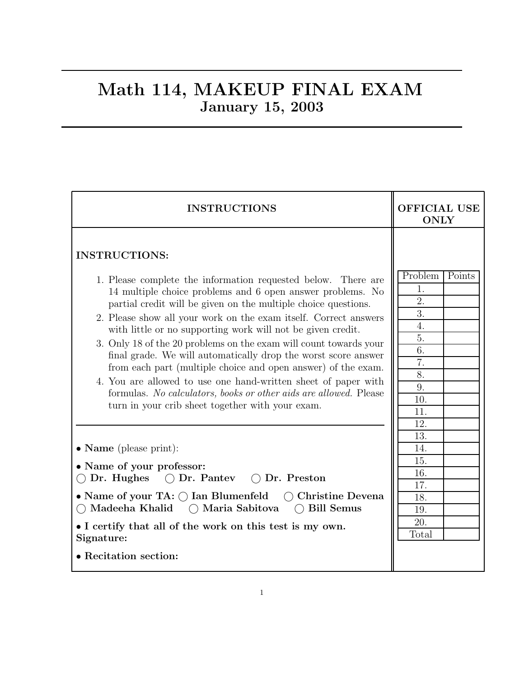### Math 114, MAKEUP FINAL EXAM January 15, 2003

| <b>INSTRUCTIONS</b>                                                                                                                                                                                                                                                 | <b>OFFICIAL USE</b><br><b>ONLY</b> |  |  |
|---------------------------------------------------------------------------------------------------------------------------------------------------------------------------------------------------------------------------------------------------------------------|------------------------------------|--|--|
| <b>INSTRUCTIONS:</b>                                                                                                                                                                                                                                                | Problem<br>Points                  |  |  |
| 1. Please complete the information requested below. There are<br>14 multiple choice problems and 6 open answer problems. No<br>partial credit will be given on the multiple choice questions.<br>2. Please show all your work on the exam itself. Correct answers   | 1.<br>2.<br>$\overline{3}$ .       |  |  |
| with little or no supporting work will not be given credit.<br>3. Only 18 of the 20 problems on the exam will count towards your<br>final grade. We will automatically drop the worst score answer<br>from each part (multiple choice and open answer) of the exam. | 4.<br>5.<br>6.<br>7.               |  |  |
| 4. You are allowed to use one hand-written sheet of paper with<br>formulas. No calculators, books or other aids are allowed. Please<br>turn in your crib sheet together with your exam.                                                                             | 8.<br>9.<br>10.<br>11.             |  |  |
| $\bullet$ <b>Name</b> (please print):                                                                                                                                                                                                                               | 12.<br>13.<br>14.<br>15.           |  |  |
| • Name of your professor:<br>Dr. Hughes<br>$\bigcap$ Dr. Pantey $\bigcap$ Dr. Preston                                                                                                                                                                               | 16.<br>17.                         |  |  |
| • Name of your TA: $\bigcap$ Ian Blumenfeld $\bigcap$ Christine Devena<br>○ Madeeha Khalid ○ Maria Sabitova<br>$\bigcap$ Bill Semus                                                                                                                                 | 18.<br>19.                         |  |  |
| • I certify that all of the work on this test is my own.<br>Signature:                                                                                                                                                                                              | 20.<br>Total                       |  |  |
| • Recitation section:                                                                                                                                                                                                                                               |                                    |  |  |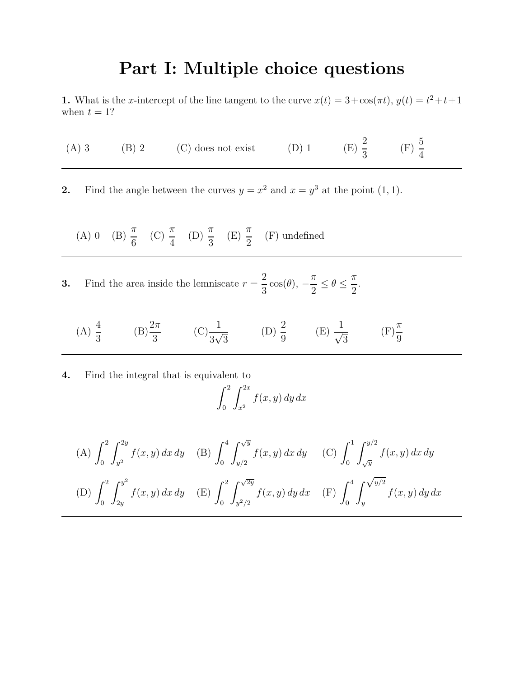## Part I: Multiple choice questions

**1.** What is the x-intercept of the line tangent to the curve  $x(t) = 3 + \cos(\pi t)$ ,  $y(t) = t^2 + t + 1$ when  $t = 1$ ?

|  | $(A) 3$ $(B) 2$ | (C) does not exist | $(D)$ 1 | $(E) \frac{2}{3}$ | (F) $\frac{5}{4}$ |
|--|-----------------|--------------------|---------|-------------------|-------------------|
|--|-----------------|--------------------|---------|-------------------|-------------------|

2. Find the angle between the curves  $y = x^2$  and  $x = y^3$  at the point  $(1, 1)$ .

(A) 0 (B)  $\frac{\pi}{c}$ 6 (C)  $\frac{\pi}{4}$ 4  $(D) \frac{\pi}{2}$ 3  $(E) \frac{\pi}{2}$ 2 (F) undefined

**3.** Find the area inside the lemniscate  $r = \frac{2}{3}$  $\frac{2}{3}\cos(\theta),$ π  $\frac{n}{2} \leq \theta \leq$ π 2 .

(A) 
$$
\frac{4}{3}
$$
 \t(B)  $\frac{2\pi}{3}$  \t(C)  $\frac{1}{3\sqrt{3}}$  \t(D)  $\frac{2}{9}$  \t(E)  $\frac{1}{\sqrt{3}}$  \t(F)  $\frac{\pi}{9}$ 

4. Find the integral that is equivalent to

$$
\int_0^2 \int_{x^2}^{2x} f(x, y) dy dx
$$

(A) 
$$
\int_0^2 \int_{y^2}^{2y} f(x, y) dx dy
$$
 (B)  $\int_0^4 \int_{y/2}^{\sqrt{y}} f(x, y) dx dy$  (C)  $\int_0^1 \int_{\sqrt{y}}^{y/2} f(x, y) dx dy$   
\n(D)  $\int_0^2 \int_{2y}^{y^2} f(x, y) dx dy$  (E)  $\int_0^2 \int_{y^2/2}^{\sqrt{2y}} f(x, y) dy dx$  (F)  $\int_0^4 \int_{y}^{\sqrt{y/2}} f(x, y) dy dx$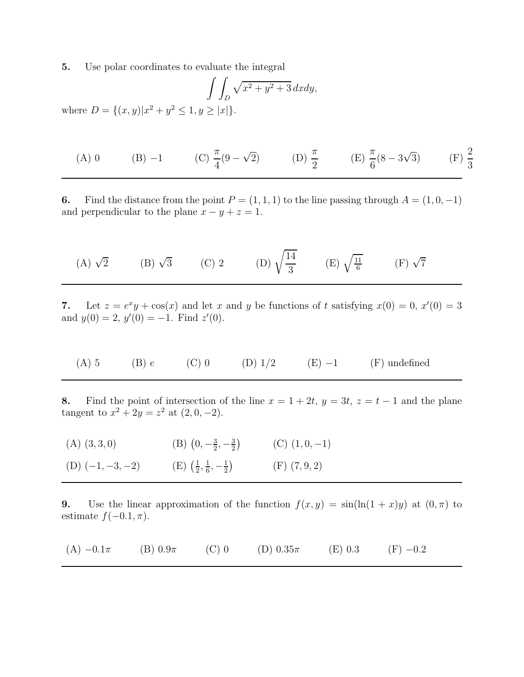5. Use polar coordinates to evaluate the integral

$$
\int \int_D \sqrt{x^2 + y^2 + 3} \, dxdy,
$$
  
where  $D = \{(x, y) | x^2 + y^2 \le 1, y \ge |x| \}.$ 

(A) 0 \t(B) -1 \t(C) 
$$
\frac{\pi}{4}(9 - \sqrt{2})
$$
 \t(D)  $\frac{\pi}{2}$  \t(E)  $\frac{\pi}{6}(8 - 3\sqrt{3})$  \t(F)  $\frac{2}{3}$ 

6. Find the distance from the point  $P = (1, 1, 1)$  to the line passing through  $A = (1, 0, -1)$ and perpendicular to the plane  $x - y + z = 1$ .

(A) 
$$
\sqrt{2}
$$
 (B)  $\sqrt{3}$  (C) 2 (D)  $\sqrt{\frac{14}{3}}$  (E)  $\sqrt{\frac{11}{6}}$  (F)  $\sqrt{7}$ 

7. Let  $z = e^x y + \cos(x)$  and let x and y be functions of t satisfying  $x(0) = 0, x'(0) = 3$ and  $y(0) = 2$ ,  $y'(0) = -1$ . Find  $z'(0)$ .

(A) 5 (B) e (C) 0 (D)  $1/2$  (E)  $-1$  (F) undefined

8. Find the point of intersection of the line  $x = 1 + 2t$ ,  $y = 3t$ ,  $z = t - 1$  and the plane tangent to  $x^2 + 2y = z^2$  at  $(2, 0, -2)$ .

| $(A)$ $(3,3,0)$    | (B) $(0, -\frac{3}{2}, -\frac{3}{2})$                     | $(C)$ $(1,0,-1)$  |
|--------------------|-----------------------------------------------------------|-------------------|
| (D) $(-1, -3, -2)$ | $(E)$ $\left(\frac{1}{2},\frac{1}{6},-\frac{1}{2}\right)$ | $(F)$ $(7, 9, 2)$ |

9. Use the linear approximation of the function  $f(x, y) = \sin(\ln(1 + x)y)$  at  $(0, \pi)$  to estimate  $f(-0.1, \pi)$ .

| $(A) -0.1\pi$ | $(B)$ 0.9 $\pi$ | $(C)$ 0 | (D) $0.35\pi$ | (E) 0.3 | $(F) -0.2$ |
|---------------|-----------------|---------|---------------|---------|------------|
|---------------|-----------------|---------|---------------|---------|------------|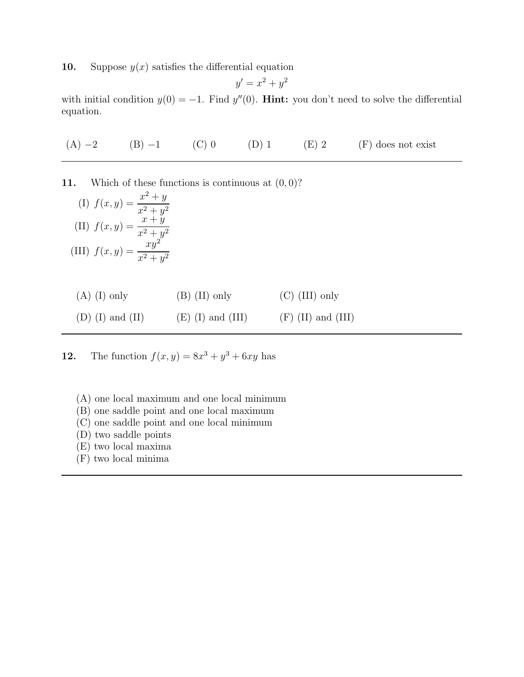10. Suppose  $y(x)$  satisfies the differential equation

$$
y' = x^2 + y^2
$$

with initial condition  $y(0) = -1$ . Find  $y''(0)$ . **Hint:** you don't need to solve the differential equation.

(A)  $-2$  (B)  $-1$  (C) 0 (D) 1 (E) 2 (F) does not exist

11. Which of these functions is continuous at  $(0,0)$ ?

(I) 
$$
f(x, y) = \frac{x^2 + y}{x^2 + y^2}
$$
  
\n(II)  $f(x, y) = \frac{x + y}{x^2 + y^2}$   
\n(III)  $f(x, y) = \frac{xy^2}{x^2 + y^2}$ 

| $(A)$ (I) only | $(B)$ (II) only | $(C)$ (III) only |
|----------------|-----------------|------------------|
|----------------|-----------------|------------------|

### (D) (I) and (II)  $(E)$  (I) and (III)  $(F)$  (II) and (III)

**12.** The function  $f(x, y) = 8x^3 + y^3 + 6xy$  has

- (A) one local maximum and one local minimum
- (B) one saddle point and one local maximum
- (C) one saddle point and one local minimum
- (D) two saddle points
- (E) two local maxima
- (F) two local minima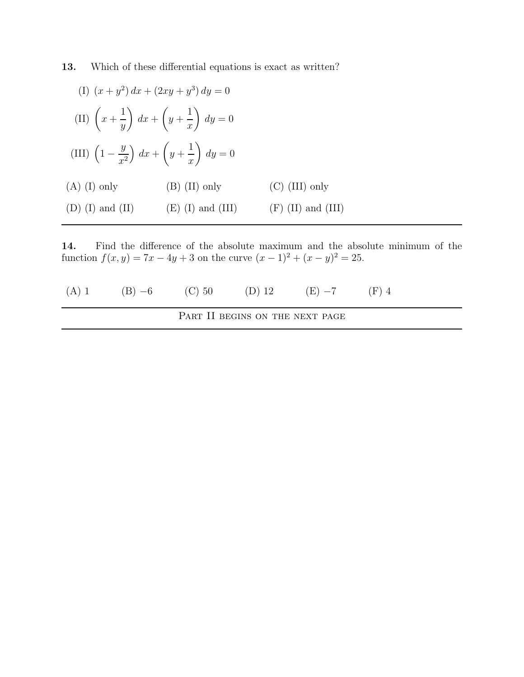13. Which of these differential equations is exact as written?

| (I) $(x+y^2) dx + (2xy + y^3) dy = 0$                                       |                     |                      |
|-----------------------------------------------------------------------------|---------------------|----------------------|
| (II) $\left(x+\frac{1}{y}\right) dx + \left(y+\frac{1}{x}\right) dy = 0$    |                     |                      |
| (III) $\left(1-\frac{y}{x^2}\right) dx + \left(y+\frac{1}{x}\right) dy = 0$ |                     |                      |
| $(A)$ (I) only                                                              | $(B)$ (II) only     | $(C)$ (III) only     |
| $(D)$ (I) and (II)                                                          | $(E)$ (I) and (III) | $(F)$ (II) and (III) |

14. Find the difference of the absolute maximum and the absolute minimum of the function  $f(x, y) = 7x - 4y + 3$  on the curve  $(x - 1)^2 + (x - y)^2 = 25$ .

|  |                                 | (A) 1 (B) $-6$ (C) 50 (D) 12 (E) $-7$ (F) 4 |  |
|--|---------------------------------|---------------------------------------------|--|
|  | PART II BEGINS ON THE NEXT PAGE |                                             |  |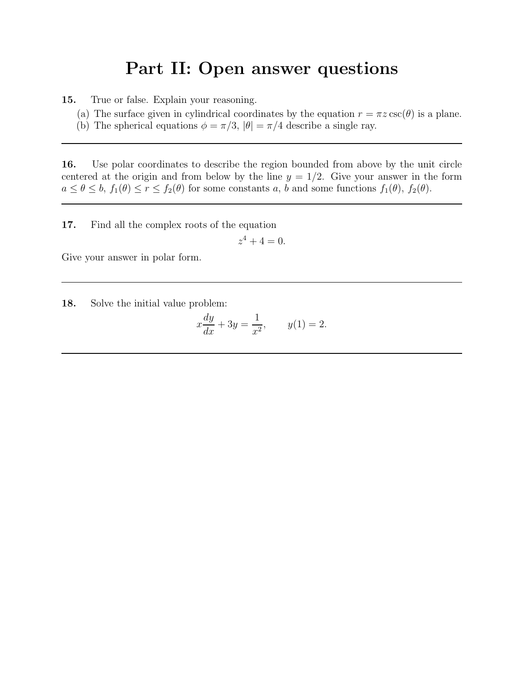# Part II: Open answer questions

15. True or false. Explain your reasoning.

- (a) The surface given in cylindrical coordinates by the equation  $r = \pi z \csc(\theta)$  is a plane.
- (b) The spherical equations  $\phi = \pi/3$ ,  $|\theta| = \pi/4$  describe a single ray.

16. Use polar coordinates to describe the region bounded from above by the unit circle centered at the origin and from below by the line  $y = 1/2$ . Give your answer in the form  $a \leq \theta \leq b$ ,  $f_1(\theta) \leq r \leq f_2(\theta)$  for some constants a, b and some functions  $f_1(\theta)$ ,  $f_2(\theta)$ .

17. Find all the complex roots of the equation

$$
z^4 + 4 = 0.
$$

Give your answer in polar form.

18. Solve the initial value problem:

$$
x\frac{dy}{dx} + 3y = \frac{1}{x^2}, \qquad y(1) = 2.
$$